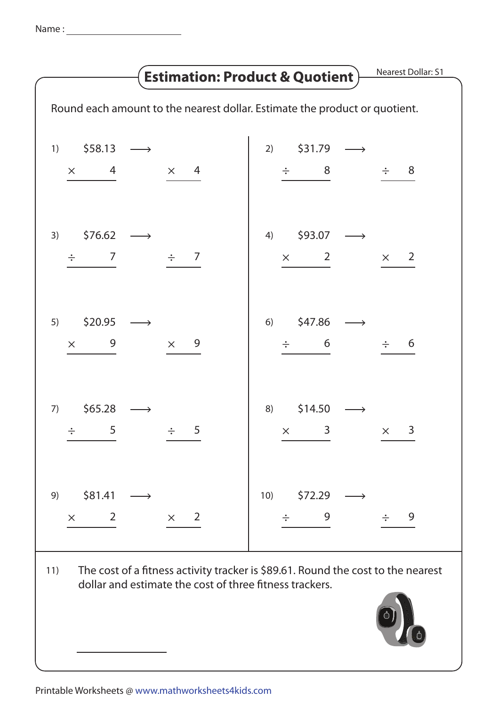